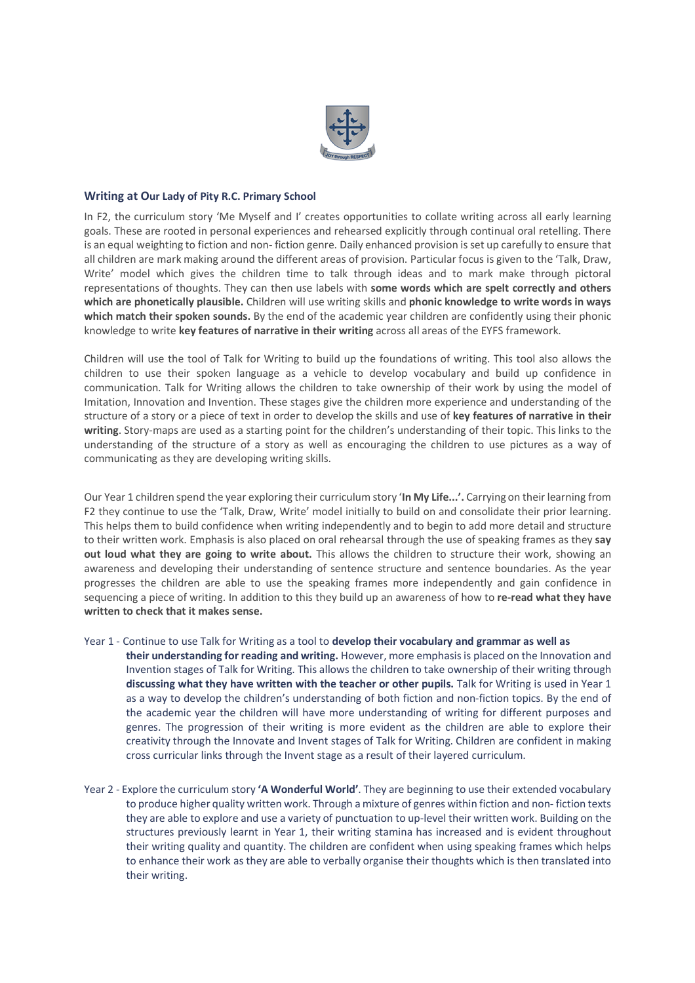

## **Writing at Our Lady of Pity R.C. Primary School**

In F2, the curriculum story 'Me Myself and I' creates opportunities to collate writing across all early learning goals. These are rooted in personal experiences and rehearsed explicitly through continual oral retelling. There is an equal weighting to fiction and non- fiction genre. Daily enhanced provision isset up carefully to ensure that all children are mark making around the different areas of provision. Particular focus is given to the 'Talk, Draw, Write' model which gives the children time to talk through ideas and to mark make through pictoral representations of thoughts. They can then use labels with **some words which are spelt correctly and others which are phonetically plausible.** Children will use writing skills and **phonic knowledge to write words in ways which match their spoken sounds.** By the end of the academic year children are confidently using their phonic knowledge to write **key features of narrative in their writing** across all areas of the EYFS framework.

Children will use the tool of Talk for Writing to build up the foundations of writing. This tool also allows the children to use their spoken language as a vehicle to develop vocabulary and build up confidence in communication. Talk for Writing allows the children to take ownership of their work by using the model of Imitation, Innovation and Invention. These stages give the children more experience and understanding of the structure of a story or a piece of text in order to develop the skills and use of **key features of narrative in their writing**. Story-maps are used as a starting point for the children's understanding of their topic. This links to the understanding of the structure of a story as well as encouraging the children to use pictures as a way of communicating as they are developing writing skills.

Our Year 1 children spend the year exploring their curriculum story '**In My Life...'.** Carrying on theirlearning from F2 they continue to use the 'Talk, Draw, Write' model initially to build on and consolidate their prior learning. This helps them to build confidence when writing independently and to begin to add more detail and structure to their written work. Emphasis is also placed on oral rehearsal through the use of speaking frames as they **say out loud what they are going to write about.** This allows the children to structure their work, showing an awareness and developing their understanding of sentence structure and sentence boundaries. As the year progresses the children are able to use the speaking frames more independently and gain confidence in sequencing a piece of writing. In addition to this they build up an awareness of how to **re-read what they have written to check that it makes sense.**

Year 1 - Continue to use Talk for Writing as a tool to **develop their vocabulary and grammar as well as**

**their understanding for reading and writing.** However, more emphasisis placed on the Innovation and Invention stages of Talk for Writing. This allows the children to take ownership of their writing through **discussing what they have written with the teacher or other pupils.** Talk for Writing is used in Year 1 as a way to develop the children's understanding of both fiction and non-fiction topics. By the end of the academic year the children will have more understanding of writing for different purposes and genres. The progression of their writing is more evident as the children are able to explore their creativity through the Innovate and Invent stages of Talk for Writing. Children are confident in making cross curricular links through the Invent stage as a result of their layered curriculum.

Year 2 - Explore the curriculum story **'A Wonderful World'**. They are beginning to use their extended vocabulary to produce higher quality written work. Through a mixture of genres within fiction and non- fiction texts they are able to explore and use a variety of punctuation to up-level their written work. Building on the structures previously learnt in Year 1, their writing stamina has increased and is evident throughout their writing quality and quantity. The children are confident when using speaking frames which helps to enhance their work as they are able to verbally organise their thoughts which is then translated into their writing.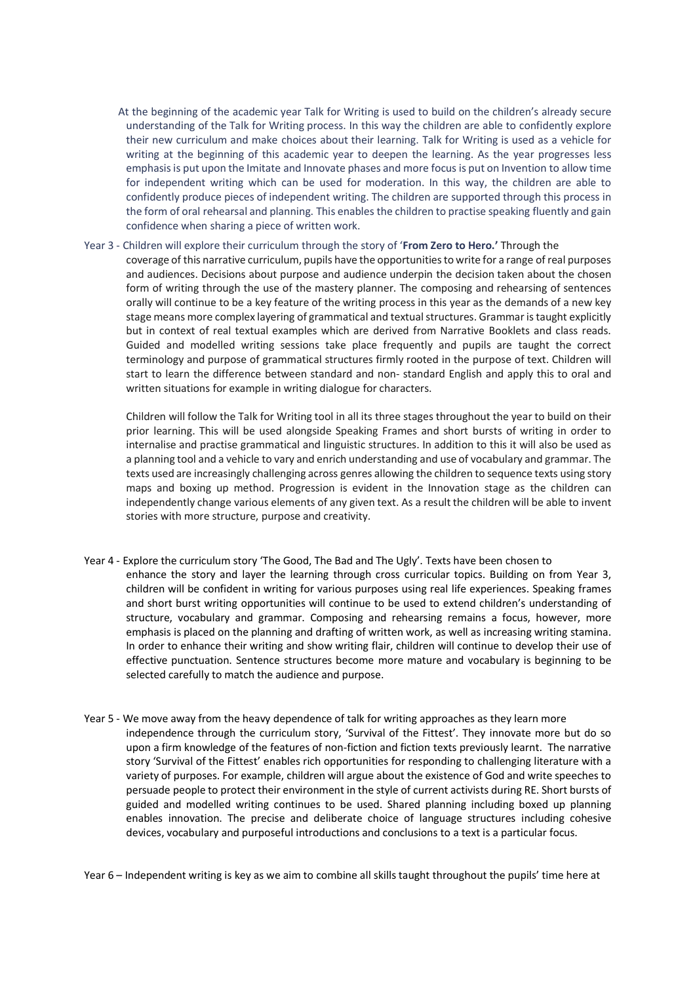At the beginning of the academic year Talk for Writing is used to build on the children's already secure understanding of the Talk for Writing process. In this way the children are able to confidently explore their new curriculum and make choices about their learning. Talk for Writing is used as a vehicle for writing at the beginning of this academic year to deepen the learning. As the year progresses less emphasisis put upon the Imitate and Innovate phases and more focus is put on Invention to allow time for independent writing which can be used for moderation. In this way, the children are able to confidently produce pieces of independent writing. The children are supported through this process in the form of oral rehearsal and planning. This enables the children to practise speaking fluently and gain confidence when sharing a piece of written work.

## Year 3 - Children will explore their curriculum through the story of '**From Zero to Hero.'** Through the

coverage of this narrative curriculum, pupils have the opportunitiesto write for a range ofreal purposes and audiences. Decisions about purpose and audience underpin the decision taken about the chosen form of writing through the use of the mastery planner. The composing and rehearsing of sentences orally will continue to be a key feature of the writing process in this year as the demands of a new key stage means more complex layering of grammatical and textual structures. Grammar is taught explicitly but in context of real textual examples which are derived from Narrative Booklets and class reads. Guided and modelled writing sessions take place frequently and pupils are taught the correct terminology and purpose of grammatical structures firmly rooted in the purpose of text. Children will start to learn the difference between standard and non- standard English and apply this to oral and written situations for example in writing dialogue for characters.

Children will follow the Talk for Writing tool in all its three stages throughout the year to build on their prior learning. This will be used alongside Speaking Frames and short bursts of writing in order to internalise and practise grammatical and linguistic structures. In addition to this it will also be used as a planning tool and a vehicle to vary and enrich understanding and use of vocabulary and grammar. The texts used are increasingly challenging across genres allowing the children to sequence texts using story maps and boxing up method. Progression is evident in the Innovation stage as the children can independently change various elements of any given text. As a result the children will be able to invent stories with more structure, purpose and creativity.

- Year 4 Explore the curriculum story 'The Good, The Bad and The Ugly'. Texts have been chosen to enhance the story and layer the learning through cross curricular topics. Building on from Year 3, children will be confident in writing for various purposes using real life experiences. Speaking frames and short burst writing opportunities will continue to be used to extend children's understanding of structure, vocabulary and grammar. Composing and rehearsing remains a focus, however, more emphasis is placed on the planning and drafting of written work, as well as increasing writing stamina. In order to enhance their writing and show writing flair, children will continue to develop their use of effective punctuation. Sentence structures become more mature and vocabulary is beginning to be selected carefully to match the audience and purpose.
- Year 5 We move away from the heavy dependence of talk for writing approaches as they learn more independence through the curriculum story, 'Survival of the Fittest'. They innovate more but do so upon a firm knowledge of the features of non-fiction and fiction texts previously learnt. The narrative story 'Survival of the Fittest' enables rich opportunities for responding to challenging literature with a variety of purposes. For example, children will argue about the existence of God and write speeches to persuade people to protect their environment in the style of current activists during RE. Short bursts of guided and modelled writing continues to be used. Shared planning including boxed up planning enables innovation. The precise and deliberate choice of language structures including cohesive devices, vocabulary and purposeful introductions and conclusions to a text is a particular focus.

Year 6 – Independent writing is key as we aim to combine all skills taught throughout the pupils' time here at